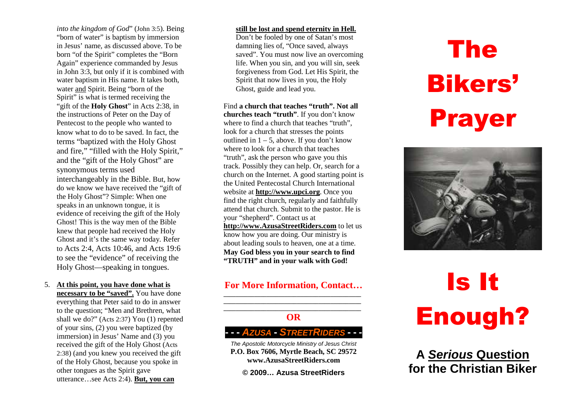*into the kingdom of God*" (John 3:5). Being "born of water" is baptism by immersion in Jesus' name, as discussed above. To be born "of the Spirit" completes the "Born Again" experience commanded by Jesus in John 3:3, but only if it is combined with water baptism in His name. It takes both, water and Spirit. Being "born of the Spirit" is what is termed receiving the "gift of the **Holy Ghost**" in Acts 2:38, in the instructions of Peter on the Day of Pentecost to the people who wanted to know what to do to be saved. In fact, the terms "baptized with the Holy Ghost and fire," "filled with the Holy Spirit," and the "gift of the Holy Ghost" are synonymous terms used interchangeably in the Bible. But, how do we know we have received the "gift of the Holy Ghost"? Simple: When one speaks in an unknown tongue, it is evidence of receiving the gift of the Holy Ghost! This is the way men of the Bible knew that people had received the Holy Ghost and it's the same way today. Refer to Acts 2:4, Acts 10:46, and Acts 19:6 to see the "evidence" of receiving the Holy Ghost—speaking in tongues.

5. **At this point, you have done what is necessary to be "saved".** You have done everything that Peter said to do in answer to the question; "Men and Brethren, what shall we do?" (Acts 2:37) You (1) repented of your sins, (2) you were baptized (by immersion) in Jesus' Name and (3) you received the gift of the Holy Ghost (Acts 2:38) (and you knew you received the gift of the Holy Ghost, because you spoke in other tongues as the Spirit gave utterance…see Acts 2:4). **But, you can** 

#### **still be lost and spend eternity in Hell.**

 Don't be fooled by one of Satan's most damning lies of, "Once saved, always saved". You must now live an overcoming life. When you sin, and you will sin, seek forgiveness from God. Let His Spirit, the Spirit that now lives in you, the Holy Ghost, guide and lead you.

Find **a church that teaches "truth". Not all churches teach "truth"**. If you don't know where to find a church that teaches "truth". look for a church that stresses the points outlined in  $1 - 5$ , above. If you don't know where to look for a church that teaches "truth", ask the person who gave you this track. Possibly they can help. Or, search for a church on the Internet. A good starting point is the United Pentecostal Church International website at **http://www.upci.org**. Once you find the right church, regularly and faithfully attend that church. Submit to the pastor. He is your "shepherd". Contact us at **http://www.AzusaStreetRiders.com** to let us know how you are doing. Our ministry is about leading souls to heaven, one at a time. **May God bless you in your search to find "TRUTH" and in your walk with God!** 

#### **For More Information, Contact…**

**OR** 

### **- - <sup>A</sup>ZUSA - <sup>S</sup>TREETRIDERS - - -**

**-**

The Apostolic Motorcycle Ministry of Jesus Christ **P.O. Box 7606, Myrtle Beach, SC 29572 www.AzusaStreetRiders.com** 

**© 2009… Azusa StreetRiders** 

# The Bikers' Prayer



## Is It Enough?

**A Serious Questionfor the Christian Biker**